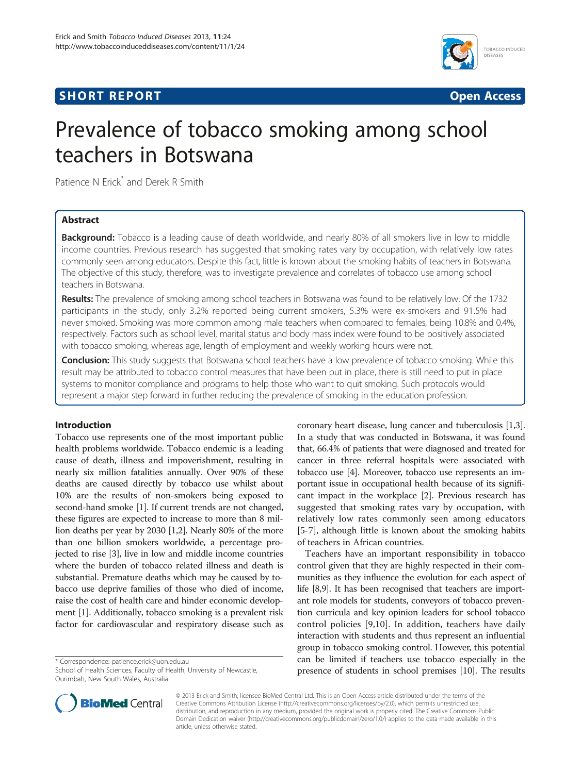# **SHORT REPORT SHORT CONSUMING THE SHORT CONSUMING THE SHORT CONSUMING THE SHORT CONSUMING THE SHORT CONSUMING THE SHORT CONSUMING THE SHORT CONSUMING THE SHORT CONSUMING THE SHORT CONSUMING THE SHORT CONSUMING THE SHORT**



# Prevalence of tobacco smoking among school teachers in Botswana

Patience N Erick<sup>\*</sup> and Derek R Smith

# Abstract

**Background:** Tobacco is a leading cause of death worldwide, and nearly 80% of all smokers live in low to middle income countries. Previous research has suggested that smoking rates vary by occupation, with relatively low rates commonly seen among educators. Despite this fact, little is known about the smoking habits of teachers in Botswana. The objective of this study, therefore, was to investigate prevalence and correlates of tobacco use among school teachers in Botswana.

Results: The prevalence of smoking among school teachers in Botswana was found to be relatively low. Of the 1732 participants in the study, only 3.2% reported being current smokers, 5.3% were ex-smokers and 91.5% had never smoked. Smoking was more common among male teachers when compared to females, being 10.8% and 0.4%, respectively. Factors such as school level, marital status and body mass index were found to be positively associated with tobacco smoking, whereas age, length of employment and weekly working hours were not.

Conclusion: This study suggests that Botswana school teachers have a low prevalence of tobacco smoking. While this result may be attributed to tobacco control measures that have been put in place, there is still need to put in place systems to monitor compliance and programs to help those who want to quit smoking. Such protocols would represent a major step forward in further reducing the prevalence of smoking in the education profession.

# Introduction

Tobacco use represents one of the most important public health problems worldwide. Tobacco endemic is a leading cause of death, illness and impoverishment, resulting in nearly six million fatalities annually. Over 90% of these deaths are caused directly by tobacco use whilst about 10% are the results of non-smokers being exposed to second-hand smoke [[1](#page-3-0)]. If current trends are not changed, these figures are expected to increase to more than 8 million deaths per year by 2030 [[1,2](#page-3-0)]. Nearly 80% of the more than one billion smokers worldwide, a percentage projected to rise [[3](#page-3-0)], live in low and middle income countries where the burden of tobacco related illness and death is substantial. Premature deaths which may be caused by tobacco use deprive families of those who died of income, raise the cost of health care and hinder economic development [\[1](#page-3-0)]. Additionally, tobacco smoking is a prevalent risk factor for cardiovascular and respiratory disease such as

\* Correspondence: [patience.erick@uon.edu.au](mailto:patience.erick@uon.edu.au)

coronary heart disease, lung cancer and tuberculosis [[1,3](#page-3-0)]. In a study that was conducted in Botswana, it was found that, 66.4% of patients that were diagnosed and treated for cancer in three referral hospitals were associated with tobacco use [[4\]](#page-3-0). Moreover, tobacco use represents an important issue in occupational health because of its significant impact in the workplace [[2\]](#page-3-0). Previous research has suggested that smoking rates vary by occupation, with relatively low rates commonly seen among educators [[5-7](#page-3-0)], although little is known about the smoking habits of teachers in African countries.

Teachers have an important responsibility in tobacco control given that they are highly respected in their communities as they influence the evolution for each aspect of life [\[8,9\]](#page-3-0). It has been recognised that teachers are important role models for students, conveyors of tobacco prevention curricula and key opinion leaders for school tobacco control policies [[9,10\]](#page-3-0). In addition, teachers have daily interaction with students and thus represent an influential group in tobacco smoking control. However, this potential can be limited if teachers use tobacco especially in the presence of students in school premises [[10](#page-3-0)]. The results



© 2013 Erick and Smith; licensee BioMed Central Ltd. This is an Open Access article distributed under the terms of the Creative Commons Attribution License (<http://creativecommons.org/licenses/by/2.0>), which permits unrestricted use, distribution, and reproduction in any medium, provided the original work is properly cited. The Creative Commons Public Domain Dedication waiver [\(http://creativecommons.org/publicdomain/zero/1.0/\)](http://creativecommons.org/publicdomain/zero/1.0/) applies to the data made available in this article, unless otherwise stated.

School of Health Sciences, Faculty of Health, University of Newcastle, Ourimbah, New South Wales, Australia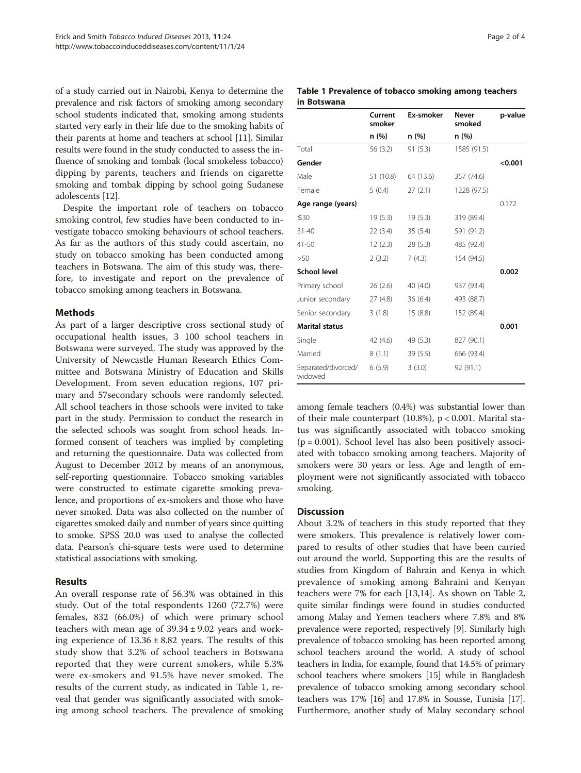of a study carried out in Nairobi, Kenya to determine the prevalence and risk factors of smoking among secondary school students indicated that, smoking among students started very early in their life due to the smoking habits of their parents at home and teachers at school [\[11\]](#page-3-0). Similar results were found in the study conducted to assess the influence of smoking and tombak (local smokeless tobacco) dipping by parents, teachers and friends on cigarette smoking and tombak dipping by school going Sudanese adolescents [\[12\]](#page-3-0).

Despite the important role of teachers on tobacco smoking control, few studies have been conducted to investigate tobacco smoking behaviours of school teachers. As far as the authors of this study could ascertain, no study on tobacco smoking has been conducted among teachers in Botswana. The aim of this study was, therefore, to investigate and report on the prevalence of tobacco smoking among teachers in Botswana.

## Methods

As part of a larger descriptive cross sectional study of occupational health issues, 3 100 school teachers in Botswana were surveyed. The study was approved by the University of Newcastle Human Research Ethics Committee and Botswana Ministry of Education and Skills Development. From seven education regions, 107 primary and 57secondary schools were randomly selected. All school teachers in those schools were invited to take part in the study. Permission to conduct the research in the selected schools was sought from school heads. Informed consent of teachers was implied by completing and returning the questionnaire. Data was collected from August to December 2012 by means of an anonymous, self-reporting questionnaire. Tobacco smoking variables were constructed to estimate cigarette smoking prevalence, and proportions of ex-smokers and those who have never smoked. Data was also collected on the number of cigarettes smoked daily and number of years since quitting to smoke. SPSS 20.0 was used to analyse the collected data. Pearson's chi-square tests were used to determine statistical associations with smoking.

# Results

An overall response rate of 56.3% was obtained in this study. Out of the total respondents 1260 (72.7%) were females, 832 (66.0%) of which were primary school teachers with mean age of  $39.34 \pm 9.02$  years and working experience of  $13.36 \pm 8.82$  years. The results of this study show that 3.2% of school teachers in Botswana reported that they were current smokers, while 5.3% were ex-smokers and 91.5% have never smoked. The results of the current study, as indicated in Table 1, reveal that gender was significantly associated with smoking among school teachers. The prevalence of smoking

|             | Table 1 Prevalence of tobacco smoking among teachers |  |  |
|-------------|------------------------------------------------------|--|--|
| in Botswana |                                                      |  |  |

|                                | Current<br>smoker | Ex-smoker | <b>Never</b><br>smoked | p-value |
|--------------------------------|-------------------|-----------|------------------------|---------|
|                                | n (%)             | n (%)     | n (%)                  |         |
| Total                          | 56 (3.2)          | 91(5.3)   | 1585 (91.5)            |         |
| Gender                         |                   |           |                        | < 0.001 |
| Male                           | 51 (10.8)         | 64 (13.6) | 357 (74.6)             |         |
| Female                         | 5(0.4)            | 27(2.1)   | 1228 (97.5)            |         |
| Age range (years)              |                   |           |                        | 0.172   |
| $\leq 30$                      | 19(5.3)           | 19(5.3)   | 319 (89.4)             |         |
| $31 - 40$                      | 22(3.4)           | 35(5.4)   | 591 (91.2)             |         |
| 41-50                          | 12(2.3)           | 28(5.3)   | 485 (92.4)             |         |
| >50                            | 2(3.2)            | 7(4.3)    | 154 (94.5)             |         |
| <b>School level</b>            |                   |           |                        | 0.002   |
| Primary school                 | 26(2.6)           | 40 (4.0)  | 937 (93.4)             |         |
| Junior secondary               | 27(4.8)           | 36(6.4)   | 493 (88.7)             |         |
| Senior secondary               | 3(1.8)            | 15(8.8)   | 152 (89.4)             |         |
| <b>Marital status</b>          |                   |           |                        | 0.001   |
| Single                         | 42 (4.6)          | 49 (5.3)  | 827 (90.1)             |         |
| Married                        | 8(1.1)            | 39(5.5)   | 666 (93.4)             |         |
| Separated/divorced/<br>widowed | 6(5.9)            | 3(3.0)    | 92 (91.1)              |         |

among female teachers (0.4%) was substantial lower than of their male counterpart (10.8%), p < 0.001. Marital status was significantly associated with tobacco smoking  $(p = 0.001)$ . School level has also been positively associated with tobacco smoking among teachers. Majority of smokers were 30 years or less. Age and length of employment were not significantly associated with tobacco smoking.

## **Discussion**

About 3.2% of teachers in this study reported that they were smokers. This prevalence is relatively lower compared to results of other studies that have been carried out around the world. Supporting this are the results of studies from Kingdom of Bahrain and Kenya in which prevalence of smoking among Bahraini and Kenyan teachers were 7% for each [[13](#page-3-0),[14](#page-3-0)]. As shown on Table [2](#page-2-0), quite similar findings were found in studies conducted among Malay and Yemen teachers where 7.8% and 8% prevalence were reported, respectively [\[9\]](#page-3-0). Similarly high prevalence of tobacco smoking has been reported among school teachers around the world. A study of school teachers in India, for example, found that 14.5% of primary school teachers where smokers [[15](#page-3-0)] while in Bangladesh prevalence of tobacco smoking among secondary school teachers was 17% [[16](#page-3-0)] and 17.8% in Sousse, Tunisia [\[17](#page-3-0)]. Furthermore, another study of Malay secondary school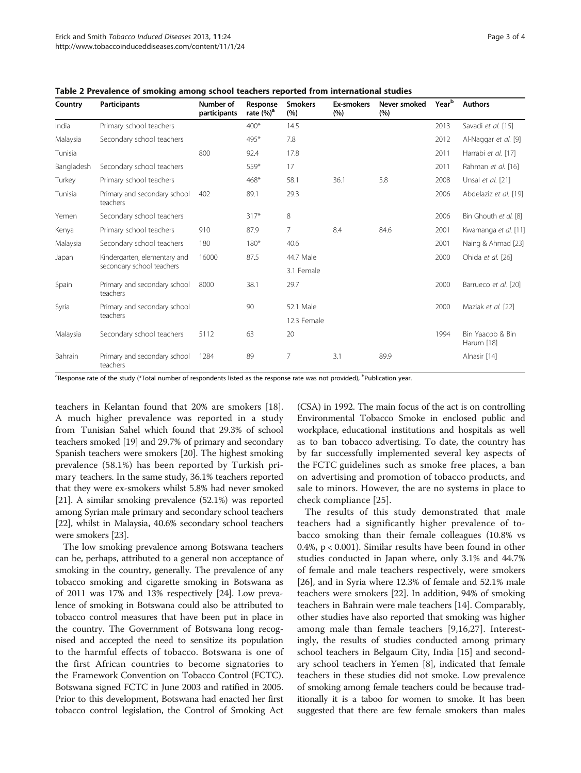| Country    | Participants                                              | Number of<br>participants | Response<br>rate $(\%)^a$ | <b>Smokers</b><br>(%) | Ex-smokers<br>(%) | Never smoked<br>(%) | Year <sup>b</sup> | <b>Authors</b>                 |
|------------|-----------------------------------------------------------|---------------------------|---------------------------|-----------------------|-------------------|---------------------|-------------------|--------------------------------|
| India      | Primary school teachers                                   |                           | $400*$                    | 14.5                  |                   |                     | 2013              | Savadi et al. [15]             |
| Malaysia   | Secondary school teachers                                 |                           | 495*                      | 7.8                   |                   |                     | 2012              | Al-Naggar et al. [9]           |
| Tunisia    |                                                           | 800                       | 92.4                      | 17.8                  |                   |                     | 2011              | Harrabi et al. [17]            |
| Bangladesh | Secondary school teachers                                 |                           | $559*$                    | 17                    |                   |                     | 2011              | Rahman et al. [16]             |
| Turkey     | Primary school teachers                                   |                           | $468*$                    | 58.1                  | 36.1              | 5.8                 | 2008              | Unsal et al. [21]              |
| Tunisia    | Primary and secondary school<br>teachers                  | 402                       | 89.1                      | 29.3                  |                   |                     | 2006              | Abdelaziz et al. [19]          |
| Yemen      | Secondary school teachers                                 |                           | $317*$                    | 8                     |                   |                     | 2006              | Bin Ghouth et al. [8]          |
| Kenya      | Primary school teachers                                   | 910                       | 87.9                      | 7                     | 8.4               | 84.6                | 2001              | Kwamanga et al. [11]           |
| Malaysia   | Secondary school teachers                                 | 180                       | $180*$                    | 40.6                  |                   |                     | 2001              | Naing & Ahmad [23]             |
| Japan      | Kindergarten, elementary and<br>secondary school teachers | 16000                     | 87.5                      | 44.7 Male             |                   |                     | 2000              | Ohida et al. [26]              |
|            |                                                           |                           |                           | 3.1 Female            |                   |                     |                   |                                |
| Spain      | Primary and secondary school<br>teachers                  | 8000                      | 38.1                      | 29.7                  |                   |                     | 2000              | Barrueco et al. [20]           |
| Syria      | Primary and secondary school<br>teachers                  |                           | 90                        | 52.1 Male             |                   |                     | 2000              | Maziak et al. [22]             |
|            |                                                           |                           |                           | 12.3 Female           |                   |                     |                   |                                |
| Malaysia   | Secondary school teachers                                 | 5112                      | 63                        | 20                    |                   |                     | 1994              | Bin Yaacob & Bin<br>Harum [18] |
| Bahrain    | Primary and secondary school<br>teachers                  | 1284                      | 89                        | 7                     | 3.1               | 89.9                |                   | Alnasir [14]                   |

<span id="page-2-0"></span>Table 2 Prevalence of smoking among school teachers reported from international studies

<sup>a</sup>Response rate of the study (\*Total number of respondents listed as the response rate was not provided), <sup>b</sup>Publication year.

teachers in Kelantan found that 20% are smokers [\[18](#page-3-0)]. A much higher prevalence was reported in a study from Tunisian Sahel which found that 29.3% of school teachers smoked [\[19\]](#page-3-0) and 29.7% of primary and secondary Spanish teachers were smokers [\[20\]](#page-3-0). The highest smoking prevalence (58.1%) has been reported by Turkish primary teachers. In the same study, 36.1% teachers reported that they were ex-smokers whilst 5.8% had never smoked [[21](#page-3-0)]. A similar smoking prevalence (52.1%) was reported among Syrian male primary and secondary school teachers [[22](#page-3-0)], whilst in Malaysia, 40.6% secondary school teachers were smokers [\[23\]](#page-3-0).

The low smoking prevalence among Botswana teachers can be, perhaps, attributed to a general non acceptance of smoking in the country, generally. The prevalence of any tobacco smoking and cigarette smoking in Botswana as of 2011 was 17% and 13% respectively [[24](#page-3-0)]. Low prevalence of smoking in Botswana could also be attributed to tobacco control measures that have been put in place in the country. The Government of Botswana long recognised and accepted the need to sensitize its population to the harmful effects of tobacco. Botswana is one of the first African countries to become signatories to the Framework Convention on Tobacco Control (FCTC). Botswana signed FCTC in June 2003 and ratified in 2005. Prior to this development, Botswana had enacted her first tobacco control legislation, the Control of Smoking Act

(CSA) in 1992. The main focus of the act is on controlling Environmental Tobacco Smoke in enclosed public and workplace, educational institutions and hospitals as well as to ban tobacco advertising. To date, the country has by far successfully implemented several key aspects of the FCTC guidelines such as smoke free places, a ban on advertising and promotion of tobacco products, and sale to minors. However, the are no systems in place to check compliance [[25\]](#page-3-0).

The results of this study demonstrated that male teachers had a significantly higher prevalence of tobacco smoking than their female colleagues (10.8% vs 0.4%, p < 0.001). Similar results have been found in other studies conducted in Japan where, only 3.1% and 44.7% of female and male teachers respectively, were smokers [[26\]](#page-3-0), and in Syria where 12.3% of female and 52.1% male teachers were smokers [[22\]](#page-3-0). In addition, 94% of smoking teachers in Bahrain were male teachers [\[14\]](#page-3-0). Comparably, other studies have also reported that smoking was higher among male than female teachers [\[9](#page-3-0),[16,27](#page-3-0)]. Interestingly, the results of studies conducted among primary school teachers in Belgaum City, India [[15](#page-3-0)] and secondary school teachers in Yemen [\[8](#page-3-0)], indicated that female teachers in these studies did not smoke. Low prevalence of smoking among female teachers could be because traditionally it is a taboo for women to smoke. It has been suggested that there are few female smokers than males